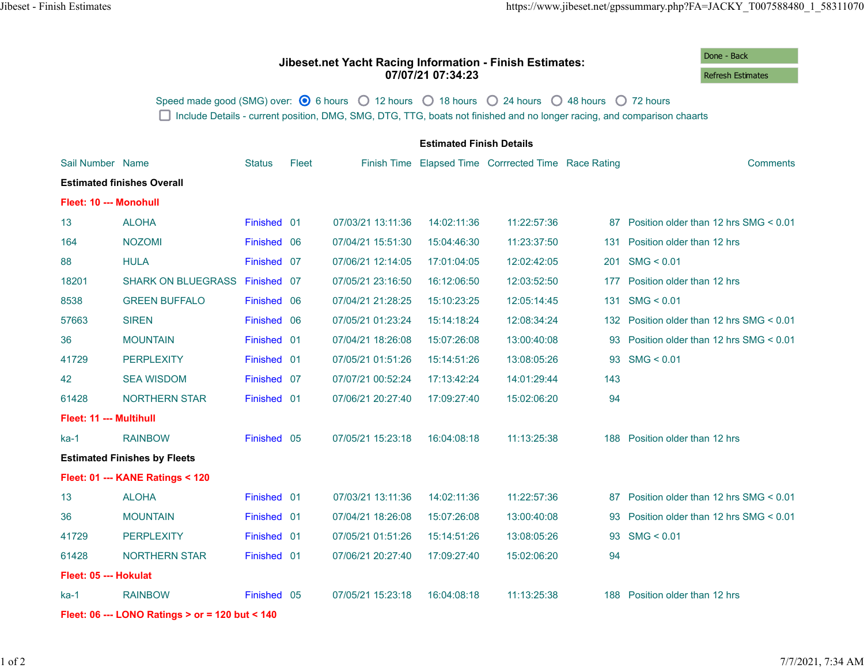## **Jibeset.net Yacht Racing Information - Finish Estimates: 07/07/21 07:34:23**

Done - Back Refresh Estimates

Speed made good (SMG) over:  $\bigcirc$  6 hours  $\bigcirc$  12 hours  $\bigcirc$  18 hours  $\bigcirc$  24 hours  $\bigcirc$  48 hours  $\bigcirc$  72 hours □ Include Details - current position, DMG, SMG, DTG, TTG, boats not finished and no longer racing, and comparison chaarts

|                                                 | <b>Estimated Finish Details</b> |               |       |                   |             |                                                      |     |                                       |  |  |  |
|-------------------------------------------------|---------------------------------|---------------|-------|-------------------|-------------|------------------------------------------------------|-----|---------------------------------------|--|--|--|
| Sail Number Name                                |                                 | <b>Status</b> | Fleet |                   |             | Finish Time Elapsed Time Corrrected Time Race Rating |     | <b>Comments</b>                       |  |  |  |
| <b>Estimated finishes Overall</b>               |                                 |               |       |                   |             |                                                      |     |                                       |  |  |  |
| Fleet: 10 --- Monohull                          |                                 |               |       |                   |             |                                                      |     |                                       |  |  |  |
| 13                                              | <b>ALOHA</b>                    | Finished 01   |       | 07/03/21 13:11:36 | 14:02:11:36 | 11:22:57:36                                          | 87  | Position older than 12 hrs SMG < 0.01 |  |  |  |
| 164                                             | <b>NOZOMI</b>                   | Finished 06   |       | 07/04/21 15:51:30 | 15:04:46:30 | 11:23:37:50                                          | 131 | Position older than 12 hrs            |  |  |  |
| 88                                              | <b>HULA</b>                     | Finished 07   |       | 07/06/21 12:14:05 | 17:01:04:05 | 12:02:42:05                                          | 201 | SMG < 0.01                            |  |  |  |
| 18201                                           | SHARK ON BLUEGRASS Finished 07  |               |       | 07/05/21 23:16:50 | 16:12:06:50 | 12:03:52:50                                          | 177 | Position older than 12 hrs            |  |  |  |
| 8538                                            | <b>GREEN BUFFALO</b>            | Finished 06   |       | 07/04/21 21:28:25 | 15:10:23:25 | 12:05:14:45                                          | 131 | SMG < 0.01                            |  |  |  |
| 57663                                           | <b>SIREN</b>                    | Finished 06   |       | 07/05/21 01:23:24 | 15:14:18:24 | 12:08:34:24                                          | 132 | Position older than 12 hrs SMG < 0.01 |  |  |  |
| 36                                              | <b>MOUNTAIN</b>                 | Finished 01   |       | 07/04/21 18:26:08 | 15:07:26:08 | 13:00:40:08                                          | 93  | Position older than 12 hrs SMG < 0.01 |  |  |  |
| 41729                                           | <b>PERPLEXITY</b>               | Finished 01   |       | 07/05/21 01:51:26 | 15:14:51:26 | 13:08:05:26                                          | 93  | SMG < 0.01                            |  |  |  |
| 42                                              | <b>SEA WISDOM</b>               | Finished 07   |       | 07/07/21 00:52:24 | 17:13:42:24 | 14:01:29:44                                          | 143 |                                       |  |  |  |
| 61428                                           | <b>NORTHERN STAR</b>            | Finished 01   |       | 07/06/21 20:27:40 | 17:09:27:40 | 15:02:06:20                                          | 94  |                                       |  |  |  |
| Fleet: 11 --- Multihull                         |                                 |               |       |                   |             |                                                      |     |                                       |  |  |  |
| $ka-1$                                          | <b>RAINBOW</b>                  | Finished 05   |       | 07/05/21 15:23:18 | 16:04:08:18 | 11:13:25:38                                          | 188 | Position older than 12 hrs            |  |  |  |
| <b>Estimated Finishes by Fleets</b>             |                                 |               |       |                   |             |                                                      |     |                                       |  |  |  |
| Fleet: 01 --- KANE Ratings < 120                |                                 |               |       |                   |             |                                                      |     |                                       |  |  |  |
| 13                                              | <b>ALOHA</b>                    | Finished 01   |       | 07/03/21 13:11:36 | 14:02:11:36 | 11:22:57:36                                          | 87  | Position older than 12 hrs SMG < 0.01 |  |  |  |
| 36                                              | <b>MOUNTAIN</b>                 | Finished 01   |       | 07/04/21 18:26:08 | 15:07:26:08 | 13:00:40:08                                          | 93  | Position older than 12 hrs SMG < 0.01 |  |  |  |
| 41729                                           | <b>PERPLEXITY</b>               | Finished 01   |       | 07/05/21 01:51:26 | 15:14:51:26 | 13:08:05:26                                          | 93  | SMG < 0.01                            |  |  |  |
| 61428                                           | <b>NORTHERN STAR</b>            | Finished 01   |       | 07/06/21 20:27:40 | 17:09:27:40 | 15:02:06:20                                          | 94  |                                       |  |  |  |
| Fleet: 05 --- Hokulat                           |                                 |               |       |                   |             |                                                      |     |                                       |  |  |  |
| $ka-1$                                          | <b>RAINBOW</b>                  | Finished 05   |       | 07/05/21 15:23:18 | 16:04:08:18 | 11:13:25:38                                          |     | 188 Position older than 12 hrs        |  |  |  |
| Fleet: 06 --- LONO Ratings > or = 120 but < 140 |                                 |               |       |                   |             |                                                      |     |                                       |  |  |  |